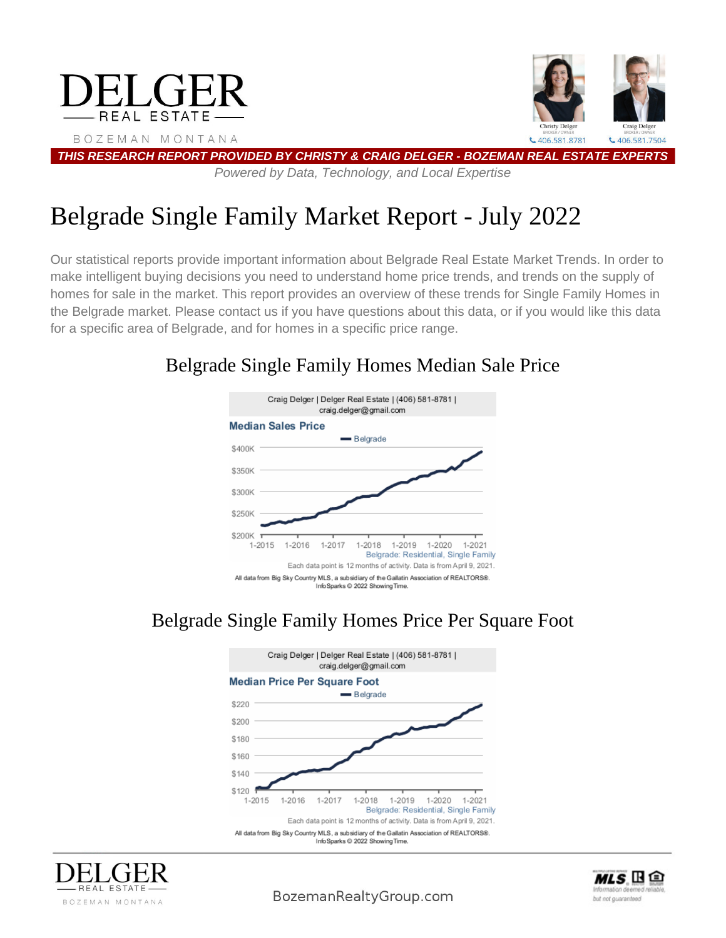

# Belgrade Single Family Market Report - July 2022

Our statistical reports provide important information about Belgrade Real Estate Market Trends. In order to make intelligent buying decisions you need to understand home price trends, and trends on the supply of homes for sale in the market. This report provides an overview of these trends for Single Family Homes in the Belgrade market. Please contact us if you have questions about this data, or if you would like this data for a specific area of Belgrade, and for homes in a specific price range.

# Belgrade Single Family Homes Median Sale Price



# Belgrade Single Family Homes Price Per Square Foot







BozemanRealtyGroup.com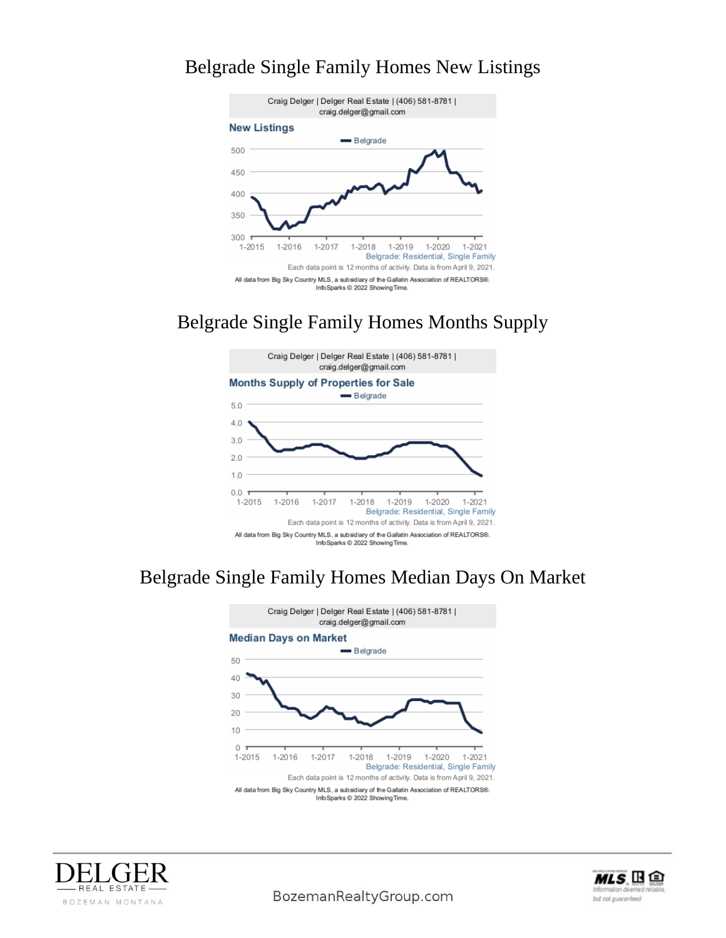#### Belgrade Single Family Homes New Listings



#### Belgrade Single Family Homes Months Supply



### Belgrade Single Family Homes Median Days On Market







BozemanRealtyGroup.com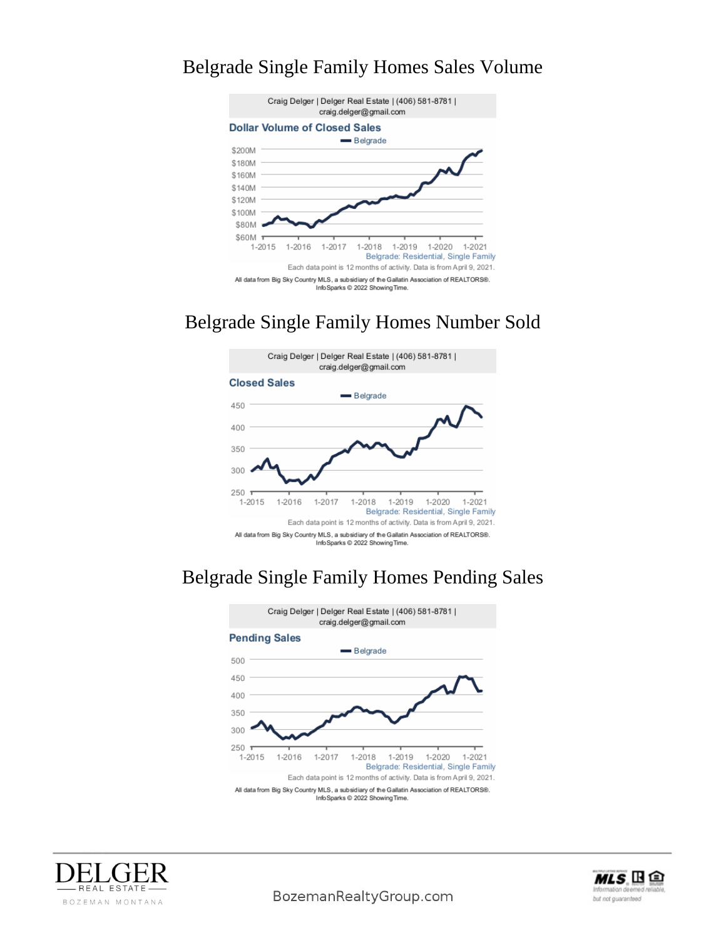#### Belgrade Single Family Homes Sales Volume



#### Belgrade Single Family Homes Number Sold



### Belgrade Single Family Homes Pending Sales